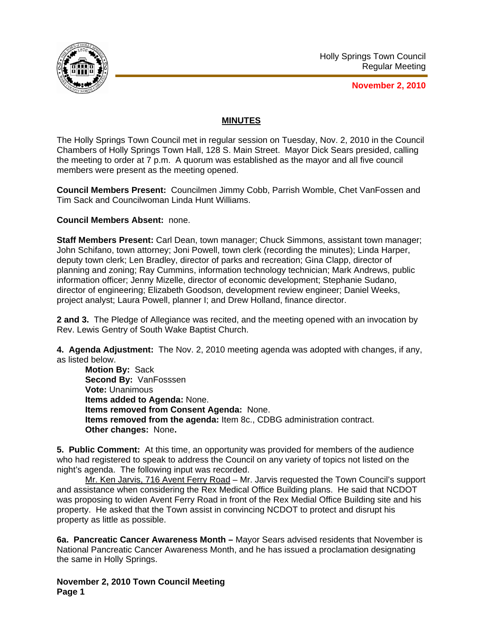

**November 2, 2010**

## **MINUTES**

The Holly Springs Town Council met in regular session on Tuesday, Nov. 2, 2010 in the Council Chambers of Holly Springs Town Hall, 128 S. Main Street. Mayor Dick Sears presided, calling the meeting to order at 7 p.m. A quorum was established as the mayor and all five council members were present as the meeting opened.

**Council Members Present:** Councilmen Jimmy Cobb, Parrish Womble, Chet VanFossen and Tim Sack and Councilwoman Linda Hunt Williams.

**Council Members Absent:** none.

**Staff Members Present:** Carl Dean, town manager; Chuck Simmons, assistant town manager; John Schifano, town attorney; Joni Powell, town clerk (recording the minutes); Linda Harper, deputy town clerk; Len Bradley, director of parks and recreation; Gina Clapp, director of planning and zoning; Ray Cummins, information technology technician; Mark Andrews, public information officer; Jenny Mizelle, director of economic development; Stephanie Sudano, director of engineering; Elizabeth Goodson, development review engineer; Daniel Weeks, project analyst; Laura Powell, planner I; and Drew Holland, finance director.

**2 and 3.** The Pledge of Allegiance was recited, and the meeting opened with an invocation by Rev. Lewis Gentry of South Wake Baptist Church.

**4. Agenda Adjustment:** The Nov. 2, 2010 meeting agenda was adopted with changes, if any, as listed below.

**Motion By:** Sack **Second By:** VanFosssen **Vote:** Unanimous **Items added to Agenda:** None. **Items removed from Consent Agenda:** None. **Items removed from the agenda:** Item 8c., CDBG administration contract. **Other changes:** None**.** 

**5. Public Comment:** At this time, an opportunity was provided for members of the audience who had registered to speak to address the Council on any variety of topics not listed on the night's agenda. The following input was recorded.

Mr. Ken Jarvis, 716 Avent Ferry Road - Mr. Jarvis requested the Town Council's support and assistance when considering the Rex Medical Office Building plans. He said that NCDOT was proposing to widen Avent Ferry Road in front of the Rex Medial Office Building site and his property. He asked that the Town assist in convincing NCDOT to protect and disrupt his property as little as possible.

**6a. Pancreatic Cancer Awareness Month –** Mayor Sears advised residents that November is National Pancreatic Cancer Awareness Month, and he has issued a proclamation designating the same in Holly Springs.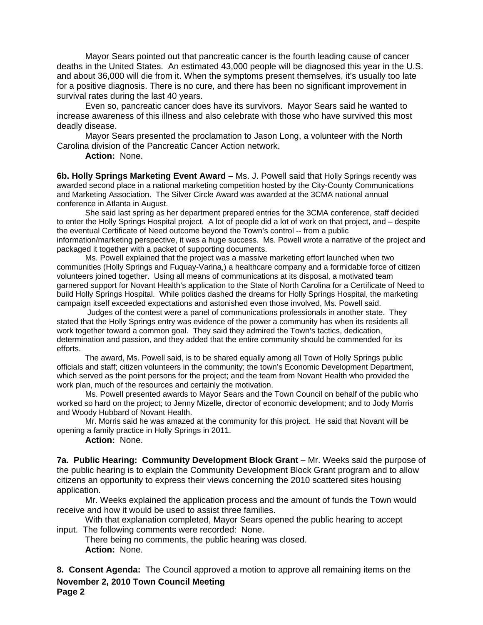Mayor Sears pointed out that pancreatic cancer is the fourth leading cause of cancer deaths in the United States. An estimated 43,000 people will be diagnosed this year in the U.S. and about 36,000 will die from it. When the symptoms present themselves, it's usually too late for a positive diagnosis. There is no cure, and there has been no significant improvement in survival rates during the last 40 years.

 Even so, pancreatic cancer does have its survivors. Mayor Sears said he wanted to increase awareness of this illness and also celebrate with those who have survived this most deadly disease.

 Mayor Sears presented the proclamation to Jason Long, a volunteer with the North Carolina division of the Pancreatic Cancer Action network.

**Action:** None.

**6b. Holly Springs Marketing Event Award** – Ms. J. Powell said that Holly Springs recently was awarded second place in a national marketing competition hosted by the City-County Communications and Marketing Association. The Silver Circle Award was awarded at the 3CMA national annual conference in Atlanta in August.

 She said last spring as her department prepared entries for the 3CMA conference, staff decided to enter the Holly Springs Hospital project. A lot of people did a lot of work on that project, and – despite the eventual Certificate of Need outcome beyond the Town's control -- from a public information/marketing perspective, it was a huge success. Ms. Powell wrote a narrative of the project and packaged it together with a packet of supporting documents.

 Ms. Powell explained that the project was a massive marketing effort launched when two communities (Holly Springs and Fuquay-Varina,) a healthcare company and a formidable force of citizen volunteers joined together. Using all means of communications at its disposal, a motivated team garnered support for Novant Health's application to the State of North Carolina for a Certificate of Need to build Holly Springs Hospital. While politics dashed the dreams for Holly Springs Hospital, the marketing campaign itself exceeded expectations and astonished even those involved, Ms. Powell said.

 Judges of the contest were a panel of communications professionals in another state. They stated that the Holly Springs entry was evidence of the power a community has when its residents all work together toward a common goal. They said they admired the Town's tactics, dedication, determination and passion, and they added that the entire community should be commended for its efforts.

 The award, Ms. Powell said, is to be shared equally among all Town of Holly Springs public officials and staff; citizen volunteers in the community; the town's Economic Development Department, which served as the point persons for the project; and the team from Novant Health who provided the work plan, much of the resources and certainly the motivation.

 Ms. Powell presented awards to Mayor Sears and the Town Council on behalf of the public who worked so hard on the project; to Jenny Mizelle, director of economic development; and to Jody Morris and Woody Hubbard of Novant Health.

 Mr. Morris said he was amazed at the community for this project. He said that Novant will be opening a family practice in Holly Springs in 2011.

**Action:** None.

**7a. Public Hearing: Community Development Block Grant** – Mr. Weeks said the purpose of the public hearing is to explain the Community Development Block Grant program and to allow citizens an opportunity to express their views concerning the 2010 scattered sites housing application.

Mr. Weeks explained the application process and the amount of funds the Town would receive and how it would be used to assist three families.

With that explanation completed, Mayor Sears opened the public hearing to accept input. The following comments were recorded: None.

There being no comments, the public hearing was closed. **Action:** None*.*

**November 2, 2010 Town Council Meeting Page 2 8. Consent Agenda:** The Council approved a motion to approve all remaining items on the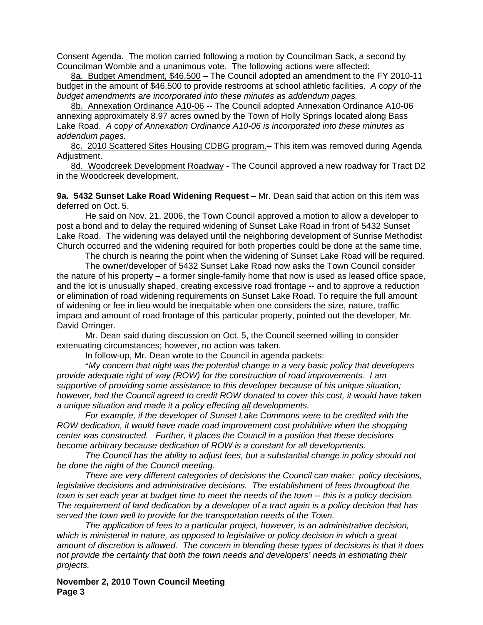Consent Agenda. The motion carried following a motion by Councilman Sack, a second by Councilman Womble and a unanimous vote. The following actions were affected:

8a. Budget Amendment, \$46,500 – The Council adopted an amendment to the FY 2010-11 budget in the amount of \$46,500 to provide restrooms at school athletic facilities. *A* c*opy of the budget amendments are incorporated into these minutes as addendum pages.*

8b. Annexation Ordinance A10-06 -- The Council adopted Annexation Ordinance A10-06 annexing approximately 8.97 acres owned by the Town of Holly Springs located along Bass Lake Road.*A* c*opy of Annexation Ordinance A10-06 is incorporated into these minutes as addendum pages.*

8c. 2010 Scattered Sites Housing CDBG program.- This item was removed during Agenda Adjustment.

8d. Woodcreek Development Roadway - The Council approved a new roadway for Tract D2 in the Woodcreek development.

**9a. 5432 Sunset Lake Road Widening Request** – Mr. Dean said that action on this item was deferred on Oct. 5.

 He said on Nov. 21, 2006, the Town Council approved a motion to allow a developer to post a bond and to delay the required widening of Sunset Lake Road in front of 5432 Sunset Lake Road. The widening was delayed until the neighboring development of Sunrise Methodist Church occurred and the widening required for both properties could be done at the same time.

The church is nearing the point when the widening of Sunset Lake Road will be required.

 The owner/developer of 5432 Sunset Lake Road now asks the Town Council consider the nature of his property – a former single-family home that now is used as leased office space, and the lot is unusually shaped, creating excessive road frontage -- and to approve a reduction or elimination of road widening requirements on Sunset Lake Road. To require the full amount of widening or fee in lieu would be inequitable when one considers the size, nature, traffic impact and amount of road frontage of this particular property, pointed out the developer, Mr. David Orringer.

 Mr. Dean said during discussion on Oct. 5, the Council seemed willing to consider extenuating circumstances; however, no action was taken.

In follow-up, Mr. Dean wrote to the Council in agenda packets:

 "*My concern that night was the potential change in a very basic policy that developers provide adequate right of way (ROW) for the construction of road improvements. I am supportive of providing some assistance to this developer because of his unique situation; however, had the Council agreed to credit ROW donated to cover this cost, it would have taken a unique situation and made it a policy effecting all developments.* 

 *For example, if the developer of Sunset Lake Commons were to be credited with the ROW dedication, it would have made road improvement cost prohibitive when the shopping center was constructed. Further, it places the Council in a position that these decisions become arbitrary because dedication of ROW is a constant for all developments.* 

 *The Council has the ability to adjust fees, but a substantial change in policy should not be done the night of the Council meeting.* 

 *There are very different categories of decisions the Council can make: policy decisions, legislative decisions and administrative decisions. The establishment of fees throughout the town is set each year at budget time to meet the needs of the town -- this is a policy decision. The requirement of land dedication by a developer of a tract again is a policy decision that has served the town well to provide for the transportation needs of the Town.* 

 *The application of fees to a particular project, however, is an administrative decision, which is ministerial in nature, as opposed to legislative or policy decision in which a great amount of discretion is allowed. The concern in blending these types of decisions is that it does not provide the certainty that both the town needs and developers' needs in estimating their projects.*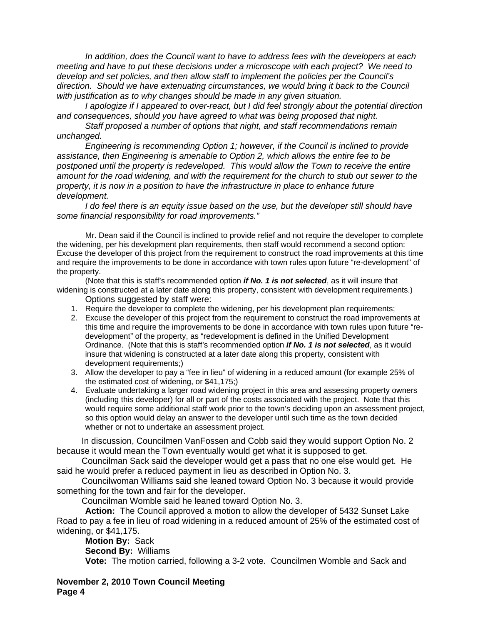*In addition, does the Council want to have to address fees with the developers at each meeting and have to put these decisions under a microscope with each project? We need to develop and set policies, and then allow staff to implement the policies per the Council's direction. Should we have extenuating circumstances, we would bring it back to the Council with justification as to why changes should be made in any given situation.* 

 *I apologize if I appeared to over-react, but I did feel strongly about the potential direction and consequences, should you have agreed to what was being proposed that night.* 

 *Staff proposed a number of options that night, and staff recommendations remain unchanged.* 

 *Engineering is recommending Option 1; however, if the Council is inclined to provide assistance, then Engineering is amenable to Option 2, which allows the entire fee to be postponed until the property is redeveloped. This would allow the Town to receive the entire amount for the road widening, and with the requirement for the church to stub out sewer to the property, it is now in a position to have the infrastructure in place to enhance future development.* 

 *I do feel there is an equity issue based on the use, but the developer still should have some financial responsibility for road improvements."* 

Mr. Dean said if the Council is inclined to provide relief and not require the developer to complete the widening, per his development plan requirements, then staff would recommend a second option: Excuse the developer of this project from the requirement to construct the road improvements at this time and require the improvements to be done in accordance with town rules upon future "re-development" of the property.

 (Note that this is staff's recommended option *if No. 1 is not selected*, as it will insure that widening is constructed at a later date along this property, consistent with development requirements.)

Options suggested by staff were:

- 1. Require the developer to complete the widening, per his development plan requirements;
- 2. Excuse the developer of this project from the requirement to construct the road improvements at this time and require the improvements to be done in accordance with town rules upon future "redevelopment" of the property, as "redevelopment is defined in the Unified Development Ordinance. (Note that this is staff's recommended option *if No. 1 is not selected*, as it would insure that widening is constructed at a later date along this property, consistent with development requirements;)
- 3. Allow the developer to pay a "fee in lieu" of widening in a reduced amount (for example 25% of the estimated cost of widening, or \$41,175;)
- 4. Evaluate undertaking a larger road widening project in this area and assessing property owners (including this developer) for all or part of the costs associated with the project. Note that this would require some additional staff work prior to the town's deciding upon an assessment project, so this option would delay an answer to the developer until such time as the town decided whether or not to undertake an assessment project.

 In discussion, Councilmen VanFossen and Cobb said they would support Option No. 2 because it would mean the Town eventually would get what it is supposed to get.

 Councilman Sack said the developer would get a pass that no one else would get. He said he would prefer a reduced payment in lieu as described in Option No. 3.

 Councilwoman Williams said she leaned toward Option No. 3 because it would provide something for the town and fair for the developer.

Councilman Womble said he leaned toward Option No. 3.

**Action:** The Council approved a motion to allow the developer of 5432 Sunset Lake Road to pay a fee in lieu of road widening in a reduced amount of 25% of the estimated cost of widening, or \$41,175.

**Motion By:** Sack **Second By:** Williams **Vote:** The motion carried, following a 3-2 vote. Councilmen Womble and Sack and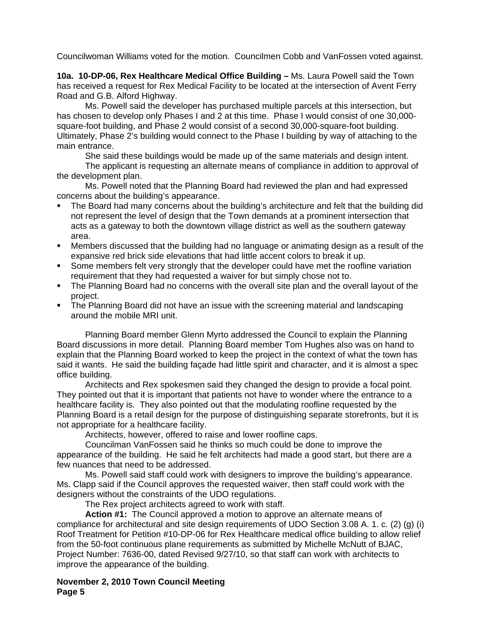Councilwoman Williams voted for the motion. Councilmen Cobb and VanFossen voted against.

**10a. 10-DP-06, Rex Healthcare Medical Office Building –** Ms. Laura Powell said the Town has received a request for Rex Medical Facility to be located at the intersection of Avent Ferry Road and G.B. Alford Highway.

 Ms. Powell said the developer has purchased multiple parcels at this intersection, but has chosen to develop only Phases I and 2 at this time. Phase I would consist of one 30,000 square-foot building, and Phase 2 would consist of a second 30,000-square-foot building. Ultimately, Phase 2's building would connect to the Phase I building by way of attaching to the main entrance.

She said these buildings would be made up of the same materials and design intent.

 The applicant is requesting an alternate means of compliance in addition to approval of the development plan.

Ms. Powell noted that the Planning Board had reviewed the plan and had expressed concerns about the building's appearance.

- The Board had many concerns about the building's architecture and felt that the building did not represent the level of design that the Town demands at a prominent intersection that acts as a gateway to both the downtown village district as well as the southern gateway area.
- Members discussed that the building had no language or animating design as a result of the expansive red brick side elevations that had little accent colors to break it up.
- Some members felt very strongly that the developer could have met the roofline variation requirement that they had requested a waiver for but simply chose not to.
- The Planning Board had no concerns with the overall site plan and the overall layout of the project.
- The Planning Board did not have an issue with the screening material and landscaping around the mobile MRI unit.

Planning Board member Glenn Myrto addressed the Council to explain the Planning Board discussions in more detail. Planning Board member Tom Hughes also was on hand to explain that the Planning Board worked to keep the project in the context of what the town has said it wants. He said the building façade had little spirit and character, and it is almost a spec office building.

Architects and Rex spokesmen said they changed the design to provide a focal point. They pointed out that it is important that patients not have to wonder where the entrance to a healthcare facility is. They also pointed out that the modulating roofline requested by the Planning Board is a retail design for the purpose of distinguishing separate storefronts, but it is not appropriate for a healthcare facility.

Architects, however, offered to raise and lower roofline caps.

Councilman VanFossen said he thinks so much could be done to improve the appearance of the building. He said he felt architects had made a good start, but there are a few nuances that need to be addressed.

Ms. Powell said staff could work with designers to improve the building's appearance. Ms. Clapp said if the Council approves the requested waiver, then staff could work with the designers without the constraints of the UDO regulations.

The Rex project architects agreed to work with staff.

**Action #1:** The Council approved a motion to approve an alternate means of compliance for architectural and site design requirements of UDO Section 3.08 A. 1. c. (2) (g) (i) Roof Treatment for Petition #10-DP-06 for Rex Healthcare medical office building to allow relief from the 50-foot continuous plane requirements as submitted by Michelle McNutt of BJAC, Project Number: 7636-00, dated Revised 9/27/10, so that staff can work with architects to improve the appearance of the building.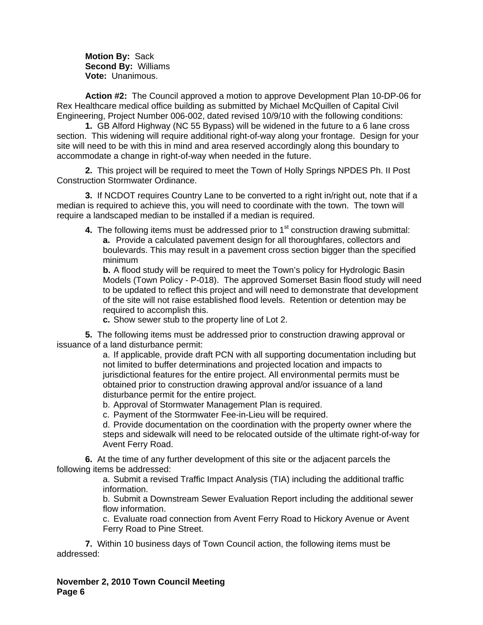**Motion By:** Sack **Second By:** Williams **Vote:** Unanimous.

**Action #2:** The Council approved a motion to approve Development Plan 10-DP-06 for Rex Healthcare medical office building as submitted by Michael McQuillen of Capital Civil Engineering, Project Number 006-002, dated revised 10/9/10 with the following conditions:

**1.** GB Alford Highway (NC 55 Bypass) will be widened in the future to a 6 lane cross section. This widening will require additional right-of-way along your frontage. Design for your site will need to be with this in mind and area reserved accordingly along this boundary to accommodate a change in right-of-way when needed in the future.

**2.** This project will be required to meet the Town of Holly Springs NPDES Ph. II Post Construction Stormwater Ordinance.

**3.** If NCDOT requires Country Lane to be converted to a right in/right out, note that if a median is required to achieve this, you will need to coordinate with the town. The town will require a landscaped median to be installed if a median is required.

**4.** The following items must be addressed prior to 1<sup>st</sup> construction drawing submittal:

**a.** Provide a calculated pavement design for all thoroughfares, collectors and boulevards. This may result in a pavement cross section bigger than the specified minimum

**b.** A flood study will be required to meet the Town's policy for Hydrologic Basin Models (Town Policy - P-018). The approved Somerset Basin flood study will need to be updated to reflect this project and will need to demonstrate that development of the site will not raise established flood levels. Retention or detention may be required to accomplish this.

**c.** Show sewer stub to the property line of Lot 2.

**5.** The following items must be addressed prior to construction drawing approval or issuance of a land disturbance permit:

a. If applicable, provide draft PCN with all supporting documentation including but not limited to buffer determinations and projected location and impacts to jurisdictional features for the entire project. All environmental permits must be obtained prior to construction drawing approval and/or issuance of a land disturbance permit for the entire project.

b. Approval of Stormwater Management Plan is required.

c. Payment of the Stormwater Fee-in-Lieu will be required.

d. Provide documentation on the coordination with the property owner where the steps and sidewalk will need to be relocated outside of the ultimate right-of-way for Avent Ferry Road.

 **6.** At the time of any further development of this site or the adjacent parcels the following items be addressed:

a. Submit a revised Traffic Impact Analysis (TIA) including the additional traffic information.

b. Submit a Downstream Sewer Evaluation Report including the additional sewer flow information.

c. Evaluate road connection from Avent Ferry Road to Hickory Avenue or Avent Ferry Road to Pine Street.

 **7.** Within 10 business days of Town Council action, the following items must be addressed: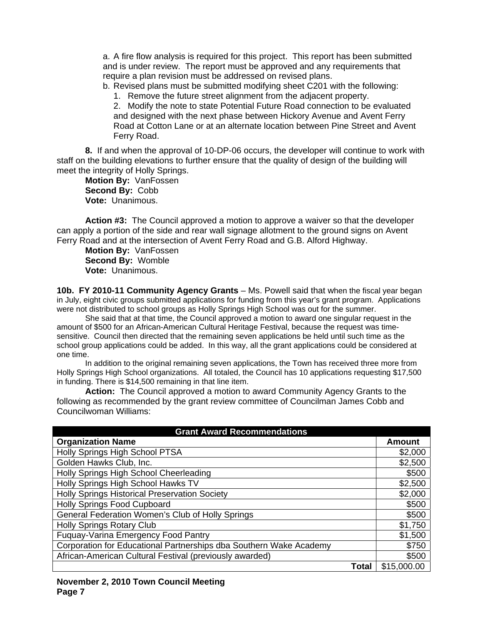a. A fire flow analysis is required for this project. This report has been submitted and is under review. The report must be approved and any requirements that require a plan revision must be addressed on revised plans.

b. Revised plans must be submitted modifying sheet C201 with the following:

1. Remove the future street alignment from the adjacent property.

2. Modify the note to state Potential Future Road connection to be evaluated and designed with the next phase between Hickory Avenue and Avent Ferry Road at Cotton Lane or at an alternate location between Pine Street and Avent Ferry Road.

 **8.** If and when the approval of 10-DP-06 occurs, the developer will continue to work with staff on the building elevations to further ensure that the quality of design of the building will meet the integrity of Holly Springs.

**Motion By:** VanFossen **Second By:** Cobb **Vote:** Unanimous.

**Action #3:** The Council approved a motion to approve a waiver so that the developer can apply a portion of the side and rear wall signage allotment to the ground signs on Avent Ferry Road and at the intersection of Avent Ferry Road and G.B. Alford Highway.

**Motion By:** VanFossen **Second By:** Womble **Vote:** Unanimous.

**10b. FY 2010-11 Community Agency Grants** *–* Ms. Powell said that when the fiscal year began in July, eight civic groups submitted applications for funding from this year's grant program. Applications were not distributed to school groups as Holly Springs High School was out for the summer.

 She said that at that time, the Council approved a motion to award one singular request in the amount of \$500 for an African-American Cultural Heritage Festival, because the request was timesensitive. Council then directed that the remaining seven applications be held until such time as the school group applications could be added. In this way, all the grant applications could be considered at one time.

 In addition to the original remaining seven applications, the Town has received three more from Holly Springs High School organizations. All totaled, the Council has 10 applications requesting \$17,500 in funding. There is \$14,500 remaining in that line item.

**Action:** The Council approved a motion to award Community Agency Grants to the following as recommended by the grant review committee of Councilman James Cobb and Councilwoman Williams:

| <b>Grant Award Recommendations</b>                                 |               |
|--------------------------------------------------------------------|---------------|
| <b>Organization Name</b>                                           | <b>Amount</b> |
| Holly Springs High School PTSA                                     | \$2,000       |
| Golden Hawks Club, Inc.                                            | \$2,500       |
| Holly Springs High School Cheerleading                             | \$500         |
| Holly Springs High School Hawks TV                                 | \$2,500       |
| <b>Holly Springs Historical Preservation Society</b>               | \$2,000       |
| <b>Holly Springs Food Cupboard</b>                                 | \$500         |
| General Federation Women's Club of Holly Springs                   | \$500         |
| <b>Holly Springs Rotary Club</b>                                   | \$1,750       |
| Fuquay-Varina Emergency Food Pantry                                | \$1,500       |
| Corporation for Educational Partnerships dba Southern Wake Academy | \$750         |
| African-American Cultural Festival (previously awarded)            | \$500         |
| Total                                                              | \$15,000.00   |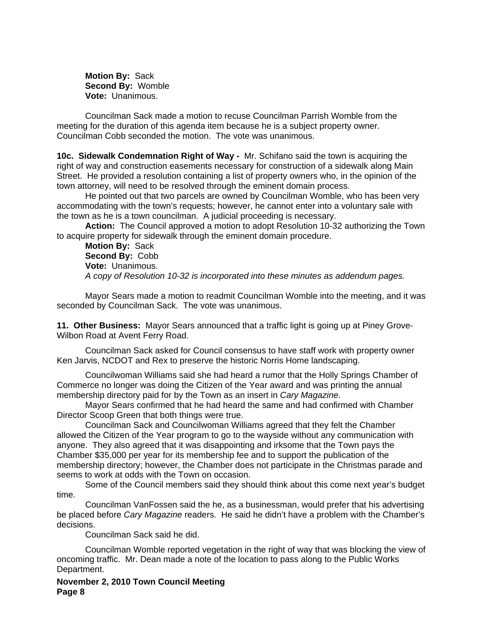**Motion By:** Sack **Second By:** Womble **Vote:** Unanimous.

Councilman Sack made a motion to recuse Councilman Parrish Womble from the meeting for the duration of this agenda item because he is a subject property owner. Councilman Cobb seconded the motion. The vote was unanimous.

**10c. Sidewalk Condemnation Right of Way -** Mr. Schifano said the town is acquiring the right of way and construction easements necessary for construction of a sidewalk along Main Street. He provided a resolution containing a list of property owners who, in the opinion of the town attorney, will need to be resolved through the eminent domain process.

 He pointed out that two parcels are owned by Councilman Womble, who has been very accommodating with the town's requests; however, he cannot enter into a voluntary sale with the town as he is a town councilman. A judicial proceeding is necessary.

**Action:** The Council approved a motion to adopt Resolution 10-32 authorizing the Town to acquire property for sidewalk through the eminent domain procedure.

**Motion By:** Sack **Second By:** Cobb **Vote:** Unanimous. *A copy of Resolution 10-32 is incorporated into these minutes as addendum pages.* 

Mayor Sears made a motion to readmit Councilman Womble into the meeting, and it was seconded by Councilman Sack. The vote was unanimous.

**11. Other Business:** Mayor Sears announced that a traffic light is going up at Piney Grove-Wilbon Road at Avent Ferry Road.

 Councilman Sack asked for Council consensus to have staff work with property owner Ken Jarvis, NCDOT and Rex to preserve the historic Norris Home landscaping.

 Councilwoman Williams said she had heard a rumor that the Holly Springs Chamber of Commerce no longer was doing the Citizen of the Year award and was printing the annual membership directory paid for by the Town as an insert in *Cary Magazine*.

 Mayor Sears confirmed that he had heard the same and had confirmed with Chamber Director Scoop Green that both things were true.

 Councilman Sack and Councilwoman Williams agreed that they felt the Chamber allowed the Citizen of the Year program to go to the wayside without any communication with anyone. They also agreed that it was disappointing and irksome that the Town pays the Chamber \$35,000 per year for its membership fee and to support the publication of the membership directory; however, the Chamber does not participate in the Christmas parade and seems to work at odds with the Town on occasion.

 Some of the Council members said they should think about this come next year's budget time.

 Councilman VanFossen said the he, as a businessman, would prefer that his advertising be placed before *Cary Magazine* readers. He said he didn't have a problem with the Chamber's decisions.

Councilman Sack said he did.

 Councilman Womble reported vegetation in the right of way that was blocking the view of oncoming traffic. Mr. Dean made a note of the location to pass along to the Public Works Department.